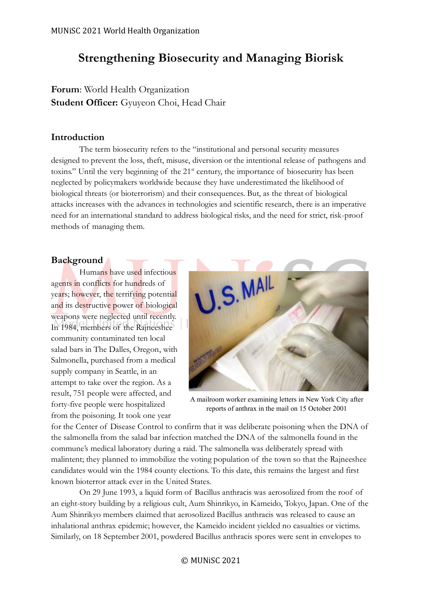# **Strengthening Biosecurity and Managing Biorisk**

**Forum**: World Health Organization **Student Officer:** Gyuyeon Choi, Head Chair

## **Introduction**

The term biosecurity refers to the "institutional and personal security measures designed to prevent the loss, theft, misuse, diversion or the intentional release of pathogens and toxins." Until the very beginning of the 21<sup>st</sup> century, the importance of biosecurity has been neglected by policymakers worldwide because they have underestimated the likelihood of biological threats (or bioterrorism) and their consequences. But, as the threat of biological attacks increases with the advances in technologies and scientific research, there is an imperative need for an international standard to address biological risks, and the need for strict, risk-proof methods of managing them.

# **Background**

Humans have used infectious agents in conflicts for hundreds of years; however, the terrifying potential and its destructive power of biological weapons were neglected until recently. In 1984, members of the Rajneeshee community contaminated ten local salad bars in The Dalles, Oregon, with Salmonella, purchased from a medical supply company in Seattle, in an attempt to take over the region. As a result, 751 people were affected, and forty-five people were hospitalized from the poisoning. It took one year



A mailroom worker examining letters in New York City after reports of anthrax in the mail on 15 October 2001

for the Center of Disease Control to confirm that it was deliberate poisoning when the DNA of the salmonella from the salad bar infection matched the DNA of the salmonella found in the commune's medical laboratory during a raid. The salmonella was deliberately spread with malintent; they planned to immobilize the voting population of the town so that the Rajneeshee candidates would win the 1984 county elections. To this date, this remains the largest and first known bioterror attack ever in the United States.

On 29 June 1993, a liquid form of Bacillus anthracis was aerosolized from the roof of an eight-story building by a religious cult, Aum Shinrikyo, in Kameido, Tokyo, Japan. One of the Aum Shinrikyo members claimed that aerosolized Bacillus anthracis was released to cause an inhalational anthrax epidemic; however, the Kameido incident yielded no casualties or victims. Similarly, on 18 September 2001, powdered Bacillus anthracis spores were sent in envelopes to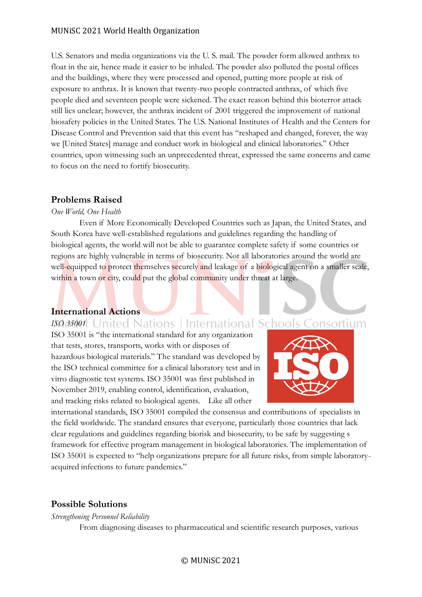#### MUNiSC 2021 World Health Organization

U.S. Senators and media organizations via the U. S. mail. The powder form allowed anthrax to float in the air, hence made it easier to be inhaled. The powder also polluted the postal offices and the buildings, where they were processed and opened, putting more people at risk of exposure to anthrax. It is known that twenty-two people contracted anthrax, of which five people died and seventeen people were sickened. The exact reason behind this bioterror attack still lies unclear; however, the anthrax incident of 2001 triggered the improvement of national biosafety policies in the United States. The U.S. National Institutes of Health and the Centers for Disease Control and Prevention said that this event has "reshaped and changed, forever, the way we [United States] manage and conduct work in biological and clinical laboratories." Other countries, upon witnessing such an unprecedented threat, expressed the same concerns and came to focus on the need to fortify biosecurity.

## **Problems Raised**

#### *One World, One Health*

Even if More Economically Developed Countries such as Japan, the United States, and South Korea have well-established regulations and guidelines regarding the handling of biological agents, the world will not be able to guarantee complete safety if some countries or regions are highly vulnerable in terms of biosecurity. Not all laboratories around the world are well-equipped to protect themselves securely and leakage of a biological agent on a smaller scale, within a town or city, could put the global community under threat at large.

## **International Actions**

**ISO 35001** United Nations | International Schools Consortium ISO 35001 is "the international standard for any organization that tests, stores, transports, works with or disposes of hazardous biological materials." The standard was developed by the ISO technical committee for a clinical laboratory test and in vitro diagnostic test systems. ISO 35001 was first published in November 2019, enabling control, identification, evaluation, and tracking risks related to biological agents. Like all other



international standards, ISO 35001 compiled the consensus and contributions of specialists in the field worldwide. The standard ensures that everyone, particularly those countries that lack clear regulations and guidelines regarding biorisk and biosecurity, to be safe by suggesting s framework for effective program management in biological laboratories. The implementation of ISO 35001 is expected to "help organizations prepare for all future risks, from simple laboratoryacquired infections to future pandemics."

## **Possible Solutions**

*Strengthening Personnel Reliability*

From diagnosing diseases to pharmaceutical and scientific research purposes, various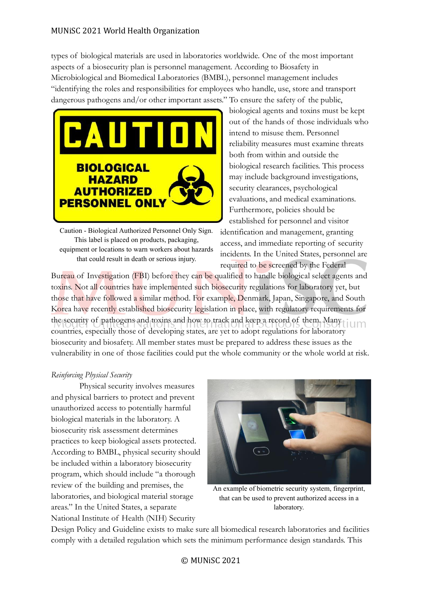types of biological materials are used in laboratories worldwide. One of the most important aspects of a biosecurity plan is personnel management. According to Biosafety in Microbiological and Biomedical Laboratories (BMBL), personnel management includes "identifying the roles and responsibilities for employees who handle, use, store and transport dangerous pathogens and/or other important assets." To ensure the safety of the public,



Caution - Biological Authorized Personnel Only Sign. This label is placed on products, packaging, equipment or locations to warn workers about hazards that could result in death or serious injury.

biological agents and toxins must be kept out of the hands of those individuals who intend to misuse them. Personnel reliability measures must examine threats both from within and outside the biological research facilities. This process may include background investigations, security clearances, psychological evaluations, and medical examinations. Furthermore, policies should be established for personnel and visitor

identification and management, granting access, and immediate reporting of security incidents. In the United States, personnel are required to be screened by the Federal

Bureau of Investigation (FBI) before they can be qualified to handle biological select agents and toxins. Not all countries have implemented such biosecurity regulations for laboratory yet, but those that have followed a similar method. For example, Denmark, Japan, Singapore, and South Korea have recently established biosecurity legislation in place, with regulatory requirements for the security of pathogens and toxins and how to track and keep a record of them. Many countries, especially those of developing states, are yet to adopt regulations for laboratory biosecurity and biosafety. All member states must be prepared to address these issues as the vulnerability in one of those facilities could put the whole community or the whole world at risk.

## *Reinforcing Physical Security*

Physical security involves measures and physical barriers to protect and prevent unauthorized access to potentially harmful biological materials in the laboratory. A biosecurity risk assessment determines practices to keep biological assets protected. According to BMBL, physical security should be included within a laboratory biosecurity program, which should include "a thorough review of the building and premises, the laboratories, and biological material storage areas." In the United States, a separate National Institute of Health (NIH) Security



An example of biometric security system, fingerprint, that can be used to prevent authorized access in a laboratory.

Design Policy and Guideline exists to make sure all biomedical research laboratories and facilities comply with a detailed regulation which sets the minimum performance design standards. This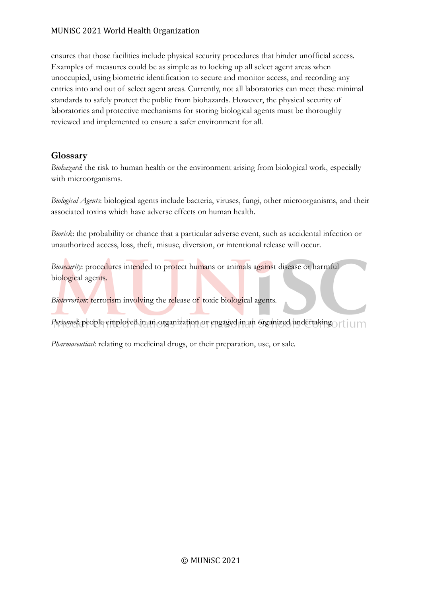#### MUNiSC 2021 World Health Organization

ensures that those facilities include physical security procedures that hinder unofficial access. Examples of measures could be as simple as to locking up all select agent areas when unoccupied, using biometric identification to secure and monitor access, and recording any entries into and out of select agent areas. Currently, not all laboratories can meet these minimal standards to safely protect the public from biohazards. However, the physical security of laboratories and protective mechanisms for storing biological agents must be thoroughly reviewed and implemented to ensure a safer environment for all.

# **Glossary**

*Biohazard*: the risk to human health or the environment arising from biological work, especially with microorganisms.

*Biological Agents*: biological agents include bacteria, viruses, fungi, other microorganisms, and their associated toxins which have adverse effects on human health.

*Biorisk*: the probability or chance that a particular adverse event, such as accidental infection or unauthorized access, loss, theft, misuse, diversion, or intentional release will occur.

*Biosecurity*: procedures intended to protect humans or animals against disease or harmful biological agents.

*Bioterrorism*: terrorism involving the release of toxic biological agents.

*Personnel*: people employed in an organization or engaged in an organized undertaking. The increased

*Pharmaceutical*: relating to medicinal drugs, or their preparation, use, or sale.